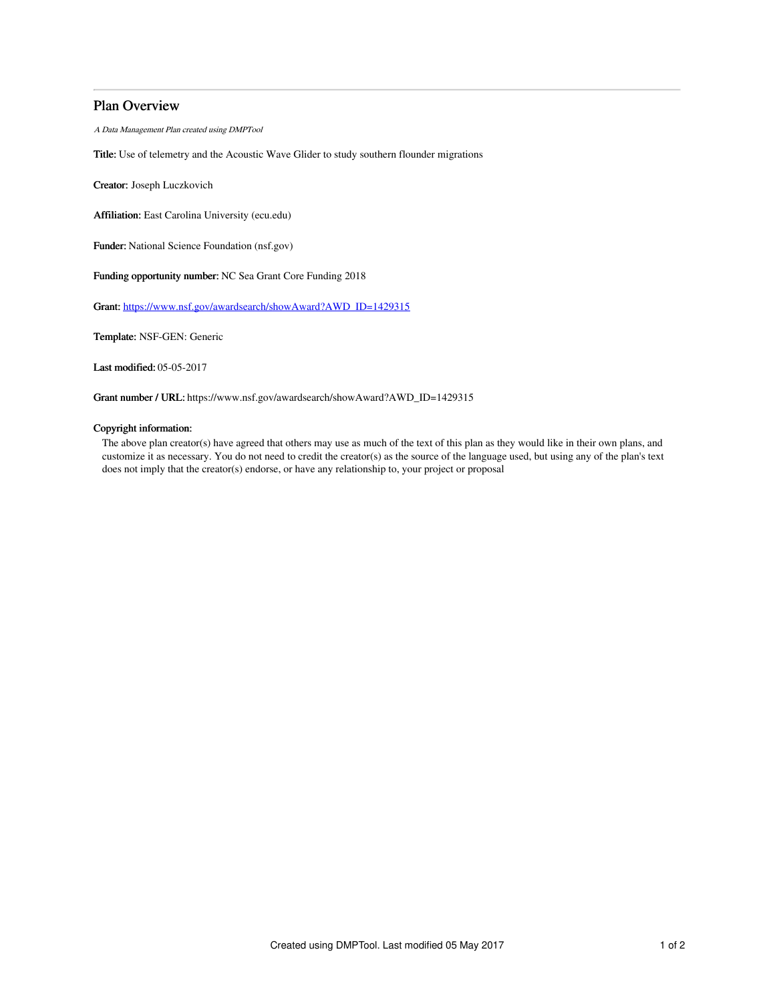# Plan Overview

A Data Management Plan created using DMPTool

Title: Use of telemetry and the Acoustic Wave Glider to study southern flounder migrations

Creator: Joseph Luczkovich

Affiliation: East Carolina University (ecu.edu)

Funder: National Science Foundation (nsf.gov)

Funding opportunity number: NC Sea Grant Core Funding 2018

Grant: [https://www.nsf.gov/awardsearch/showAward?AWD\\_ID=1429315](https://www.nsf.gov/awardsearch/showAward?AWD_ID=1429315)

Template: NSF-GEN: Generic

Last modified: 05-05-2017

Grant number / URL: https://www.nsf.gov/awardsearch/showAward?AWD\_ID=1429315

## Copyright information:

The above plan creator(s) have agreed that others may use as much of the text of this plan as they would like in their own plans, and customize it as necessary. You do not need to credit the creator(s) as the source of the language used, but using any of the plan's text does not imply that the creator(s) endorse, or have any relationship to, your project or proposal